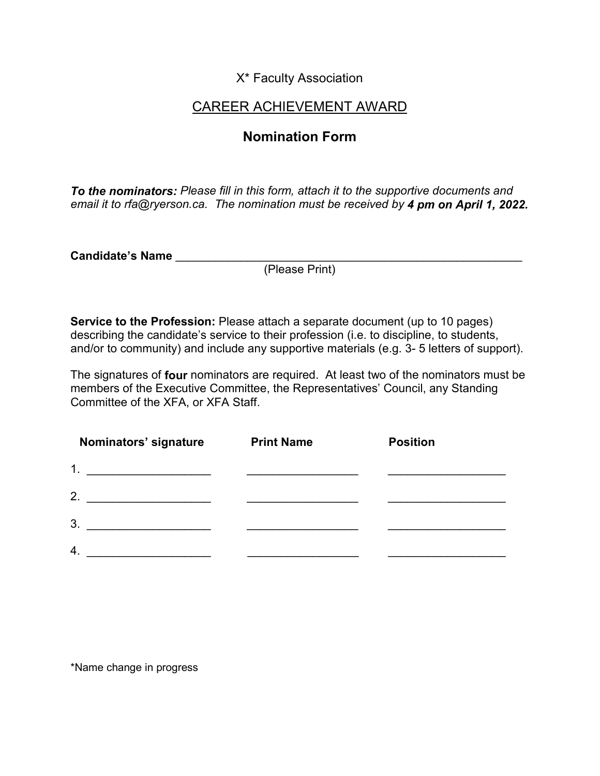X\* Faculty Association

## CAREER ACHIEVEMENT AWARD

## **Nomination Form**

*To the nominators: Please fill in this form, attach it to the supportive documents and email it to rfa@ryerson.ca. The nomination must be received by 4 pm on April 1, 2022.*

**Candidate's Name** \_\_\_\_\_\_\_\_\_\_\_\_\_\_\_\_\_\_\_\_\_\_\_\_\_\_\_\_\_\_\_\_\_\_\_\_\_\_\_\_\_\_\_\_\_\_\_\_\_\_\_\_\_

(Please Print)

**Service to the Profession:** Please attach a separate document (up to 10 pages) describing the candidate's service to their profession (i.e. to discipline, to students, and/or to community) and include any supportive materials (e.g. 3- 5 letters of support).

The signatures of **four** nominators are required. At least two of the nominators must be members of the Executive Committee, the Representatives' Council, any Standing Committee of the XFA, or XFA Staff.

| Nominators' signature                         | <b>Print Name</b> | <b>Position</b> |
|-----------------------------------------------|-------------------|-----------------|
| 1.<br><u> 1990 - Johann Barbara, martin a</u> |                   |                 |
| 2.                                            |                   |                 |
| 3.                                            |                   |                 |
| 4.                                            |                   |                 |

\*Name change in progress